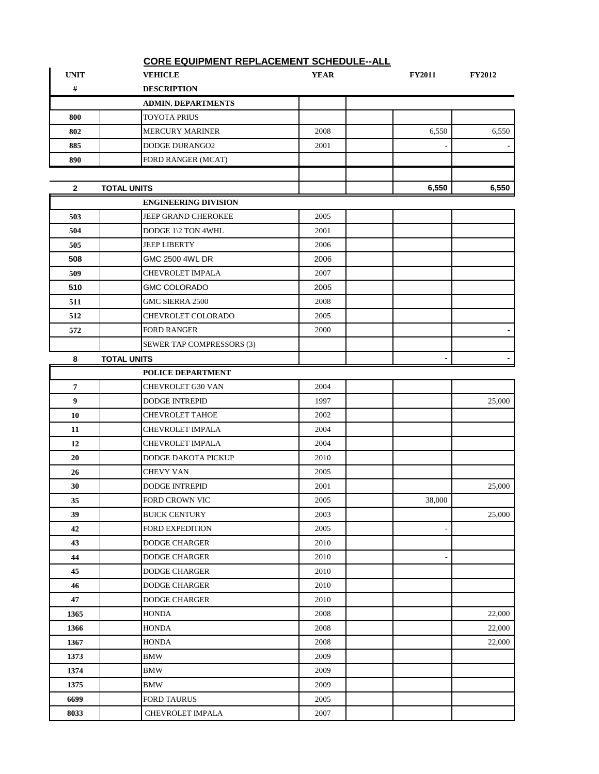|              | CORE EQUIPMENT REPLACEMENT SCHEDULE--ALL |             |               |               |
|--------------|------------------------------------------|-------------|---------------|---------------|
| <b>UNIT</b>  | <b>VEHICLE</b>                           | <b>YEAR</b> | <b>FY2011</b> | <b>FY2012</b> |
| #            | <b>DESCRIPTION</b>                       |             |               |               |
|              | <b>ADMIN. DEPARTMENTS</b>                |             |               |               |
| 800          | <b>TOYOTA PRIUS</b>                      |             |               |               |
| 802          | <b>MERCURY MARINER</b>                   | 2008        | 6,550         | 6,550         |
| 885          | DODGE DURANGO2                           | 2001        |               |               |
| 890          | FORD RANGER (MCAT)                       |             |               |               |
|              |                                          |             |               |               |
| $\mathbf{2}$ | <b>TOTAL UNITS</b>                       |             | 6,550         | 6,550         |
|              | <b>ENGINEERING DIVISION</b>              |             |               |               |
| 503          | JEEP GRAND CHEROKEE                      | 2005        |               |               |
| 504          | DODGE 1\2 TON 4WHL                       | 2001        |               |               |
| 505          | <b>JEEP LIBERTY</b>                      | 2006        |               |               |
| 508          | GMC 2500 4WL DR                          | 2006        |               |               |
| 509          | CHEVROLET IMPALA                         | 2007        |               |               |
| 510          | <b>GMC COLORADO</b>                      | 2005        |               |               |
| 511          | <b>GMC SIERRA 2500</b>                   | 2008        |               |               |
| 512          | CHEVROLET COLORADO                       | 2005        |               |               |
| 572          | FORD RANGER                              | 2000        |               |               |
|              | SEWER TAP COMPRESSORS (3)                |             |               |               |
| 8            | <b>TOTAL UNITS</b>                       |             |               |               |
|              | POLICE DEPARTMENT                        |             |               |               |
| 7            | CHEVROLET G30 VAN                        | 2004        |               |               |
| 9            | <b>DODGE INTREPID</b>                    | 1997        |               | 25,000        |
| 10           | <b>CHEVROLET TAHOE</b>                   | 2002        |               |               |
| 11           | CHEVROLET IMPALA                         | 2004        |               |               |
| 12           | <b>CHEVROLET IMPALA</b>                  | 2004        |               |               |
| 20           | DODGE DAKOTA PICKUP                      | 2010        |               |               |
| 26           | CHEVY VAN                                | 2005        |               |               |
| 30           | <b>DODGE INTREPID</b>                    | 2001        |               | 25,000        |
| 35           | FORD CROWN VIC                           | 2005        | 38,000        |               |
| 39           | <b>BUICK CENTURY</b>                     | 2003        |               | 25,000        |
| 42           | FORD EXPEDITION                          | 2005        |               |               |
| 43           | <b>DODGE CHARGER</b>                     | 2010        |               |               |
| 44           | DODGE CHARGER                            | 2010        |               |               |
| 45           | DODGE CHARGER                            | 2010        |               |               |
| 46           | DODGE CHARGER                            | 2010        |               |               |
| 47           | DODGE CHARGER                            | 2010        |               |               |
| 1365         | <b>HONDA</b>                             | 2008        |               | 22,000        |
| 1366         | <b>HONDA</b>                             | 2008        |               | 22,000        |
| 1367         | <b>HONDA</b>                             | 2008        |               | 22,000        |
| 1373         | BMW                                      | 2009        |               |               |
| 1374         | BMW                                      | 2009        |               |               |
| 1375         | <b>BMW</b>                               | 2009        |               |               |
| 6699         | <b>FORD TAURUS</b>                       | 2005        |               |               |
| 8033         | CHEVROLET IMPALA                         | 2007        |               |               |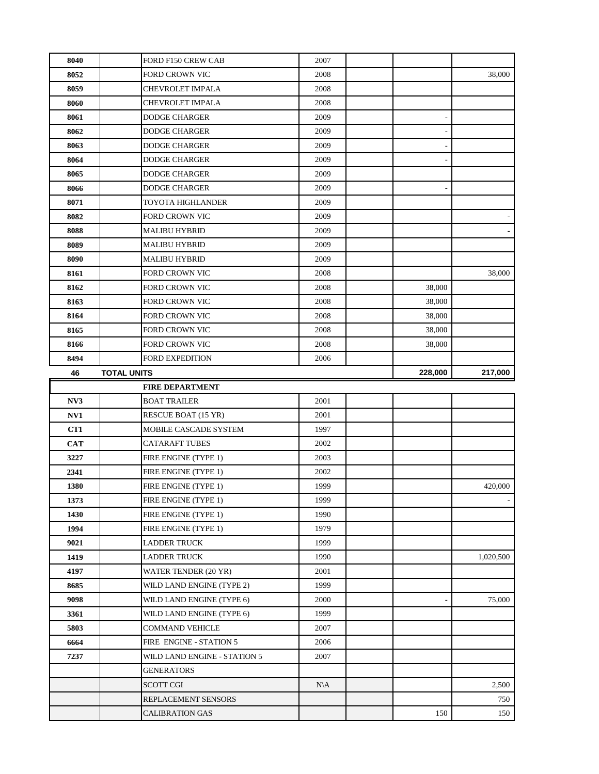| 8040       | FORD F150 CREW CAB                     | 2007           |  |         |            |
|------------|----------------------------------------|----------------|--|---------|------------|
| 8052       | <b>FORD CROWN VIC</b>                  | 2008           |  |         | 38,000     |
| 8059       | <b>CHEVROLET IMPALA</b>                | 2008           |  |         |            |
| 8060       | CHEVROLET IMPALA                       | 2008           |  |         |            |
| 8061       | <b>DODGE CHARGER</b>                   | 2009           |  |         |            |
| 8062       | <b>DODGE CHARGER</b>                   | 2009           |  |         |            |
| 8063       | <b>DODGE CHARGER</b>                   | 2009           |  |         |            |
| 8064       | <b>DODGE CHARGER</b>                   | 2009           |  |         |            |
| 8065       | <b>DODGE CHARGER</b>                   | 2009           |  |         |            |
| 8066       | <b>DODGE CHARGER</b>                   | 2009           |  |         |            |
| 8071       | TOYOTA HIGHLANDER                      | 2009           |  |         |            |
| 8082       | FORD CROWN VIC                         | 2009           |  |         |            |
| 8088       | <b>MALIBU HYBRID</b>                   | 2009           |  |         |            |
| 8089       | <b>MALIBU HYBRID</b>                   | 2009           |  |         |            |
| 8090       | <b>MALIBU HYBRID</b>                   | 2009           |  |         |            |
| 8161       | <b>FORD CROWN VIC</b>                  | 2008           |  |         | 38,000     |
| 8162       | <b>FORD CROWN VIC</b>                  | 2008           |  | 38,000  |            |
| 8163       | FORD CROWN VIC                         | 2008           |  | 38,000  |            |
| 8164       | <b>FORD CROWN VIC</b>                  | 2008           |  | 38,000  |            |
| 8165       | FORD CROWN VIC                         | 2008           |  | 38,000  |            |
| 8166       | <b>FORD CROWN VIC</b>                  | 2008           |  | 38,000  |            |
| 8494       | <b>FORD EXPEDITION</b>                 | 2006           |  |         |            |
| 46         | <b>TOTAL UNITS</b>                     |                |  | 228,000 | 217,000    |
|            | <b>FIRE DEPARTMENT</b>                 |                |  |         |            |
|            |                                        |                |  |         |            |
| NV3        | <b>BOAT TRAILER</b>                    | 2001           |  |         |            |
| NVI        | RESCUE BOAT (15 YR)                    | 2001           |  |         |            |
| CT1        | MOBILE CASCADE SYSTEM                  | 1997           |  |         |            |
| <b>CAT</b> | <b>CATARAFT TUBES</b>                  | 2002           |  |         |            |
| 3227       | FIRE ENGINE (TYPE 1)                   | 2003           |  |         |            |
| 2341       | FIRE ENGINE (TYPE 1)                   | 2002           |  |         |            |
| 1380       | FIRE ENGINE (TYPE 1)                   | 1999           |  |         | 420,000    |
| 1373       | FIRE ENGINE (TYPE 1)                   | 1999           |  |         |            |
| 1430       | FIRE ENGINE (TYPE 1)                   | 1990           |  |         |            |
| 1994       | FIRE ENGINE (TYPE 1)                   | 1979           |  |         |            |
| 9021       | <b>LADDER TRUCK</b>                    | 1999           |  |         |            |
| 1419       | <b>LADDER TRUCK</b>                    | 1990           |  |         | 1,020,500  |
| 4197       | WATER TENDER (20 YR)                   | 2001           |  |         |            |
| 8685       | WILD LAND ENGINE (TYPE 2)              | 1999           |  |         |            |
| 9098       | WILD LAND ENGINE (TYPE 6)              | 2000           |  |         | 75,000     |
| 3361       | WILD LAND ENGINE (TYPE 6)              | 1999           |  |         |            |
| 5803       | <b>COMMAND VEHICLE</b>                 | 2007           |  |         |            |
| 6664       | FIRE ENGINE - STATION 5                | 2006           |  |         |            |
| 7237       | WILD LAND ENGINE - STATION 5           | 2007           |  |         |            |
|            | <b>GENERATORS</b>                      |                |  |         |            |
|            | <b>SCOTT CGI</b>                       | $N\setminus A$ |  |         | 2,500      |
|            | REPLACEMENT SENSORS<br>CALIBRATION GAS |                |  | 150     | 750<br>150 |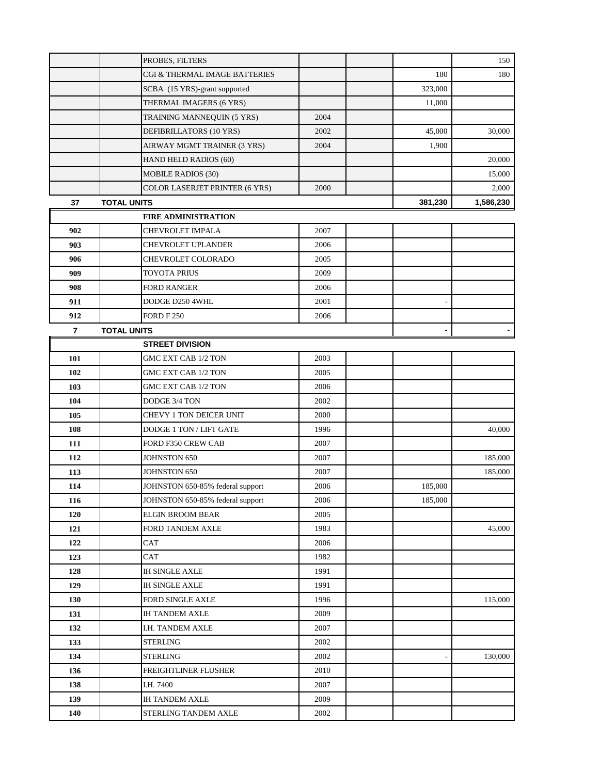|            | PROBES, FILTERS                           |              |         | 150       |
|------------|-------------------------------------------|--------------|---------|-----------|
|            | CGI & THERMAL IMAGE BATTERIES             |              | 180     | 180       |
|            | SCBA (15 YRS)-grant supported             |              | 323,000 |           |
|            | THERMAL IMAGERS (6 YRS)                   |              | 11,000  |           |
|            | TRAINING MANNEQUIN (5 YRS)                | 2004         |         |           |
|            | DEFIBRILLATORS (10 YRS)                   | 2002         | 45,000  | 30,000    |
|            | AIRWAY MGMT TRAINER (3 YRS)               | 2004         | 1,900   |           |
|            | HAND HELD RADIOS (60)                     |              |         | 20,000    |
|            | MOBILE RADIOS (30)                        |              |         | 15,000    |
|            | COLOR LASERJET PRINTER (6 YRS)            | 2000         |         | 2,000     |
| 37         | <b>TOTAL UNITS</b>                        |              | 381,230 | 1,586,230 |
|            | <b>FIRE ADMINISTRATION</b>                |              |         |           |
| 902        | <b>CHEVROLET IMPALA</b>                   | 2007         |         |           |
| 903        | <b>CHEVROLET UPLANDER</b>                 | 2006         |         |           |
| 906        | CHEVROLET COLORADO                        | 2005         |         |           |
| 909        | <b>TOYOTA PRIUS</b>                       | 2009         |         |           |
| 908        | <b>FORD RANGER</b>                        | 2006         |         |           |
| 911        | DODGE D250 4WHL                           | 2001         |         |           |
| 912        | <b>FORD F 250</b>                         | 2006         |         |           |
| 7          | <b>TOTAL UNITS</b>                        |              |         |           |
|            | <b>STREET DIVISION</b>                    |              |         |           |
| 101        | <b>GMC EXT CAB 1/2 TON</b>                | 2003         |         |           |
| 102        | GMC EXT CAB 1/2 TON                       | 2005         |         |           |
| 103        | GMC EXT CAB 1/2 TON                       | 2006         |         |           |
| 104        | DODGE 3/4 TON                             | 2002         |         |           |
| 105        | CHEVY 1 TON DEICER UNIT                   | 2000         |         |           |
| 108        | DODGE 1 TON / LIFT GATE                   | 1996         |         | 40,000    |
| 111        | FORD F350 CREW CAB                        | 2007         |         |           |
| 112        | JOHNSTON 650                              | 2007         |         | 185,000   |
| 113        | JOHNSTON 650                              | 2007         |         | 185,000   |
| 114        | JOHNSTON 650-85% federal support          | 2006         | 185,000 |           |
| 116        | JOHNSTON 650-85% federal support          | 2006         | 185,000 |           |
| 120        | <b>ELGIN BROOM BEAR</b>                   | 2005         |         |           |
| 121        | FORD TANDEM AXLE                          | 1983         |         | 45,000    |
| 122        | <b>CAT</b>                                | 2006         |         |           |
| 123        | <b>CAT</b>                                | 1982         |         |           |
| 128<br>129 | <b>IH SINGLE AXLE</b>                     | 1991<br>1991 |         |           |
| 130        | <b>IH SINGLE AXLE</b><br>FORD SINGLE AXLE | 1996         |         |           |
|            |                                           |              |         | 115,000   |
| 131<br>132 | <b>IH TANDEM AXLE</b><br>I.H. TANDEM AXLE | 2009<br>2007 |         |           |
| 133        | <b>STERLING</b>                           | 2002         |         |           |
| 134        | <b>STERLING</b>                           | 2002         |         | 130,000   |
| 136        | FREIGHTLINER FLUSHER                      | 2010         |         |           |
| 138        | I.H. 7400                                 | 2007         |         |           |
| 139        | <b>IH TANDEM AXLE</b>                     | 2009         |         |           |
| 140        | STERLING TANDEM AXLE                      | 2002         |         |           |
|            |                                           |              |         |           |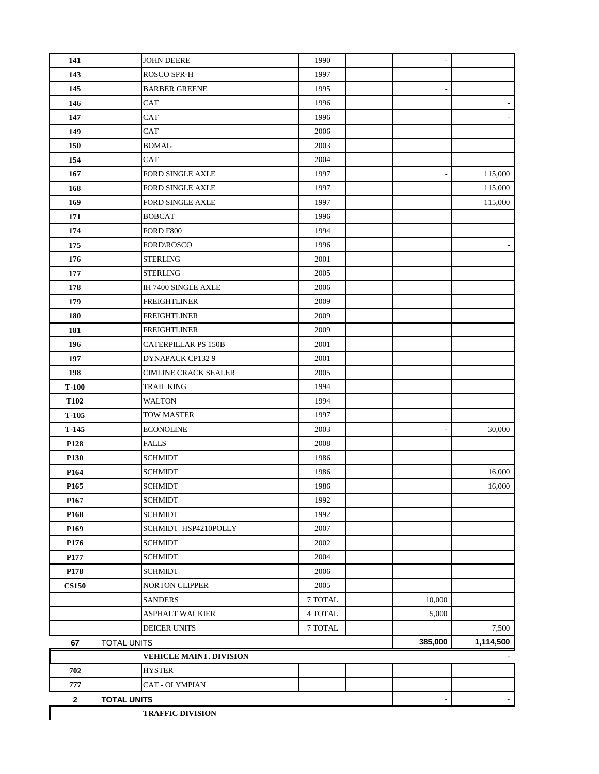| 141              | <b>JOHN DEERE</b>              | 1990    | $\overline{\phantom{a}}$ |           |
|------------------|--------------------------------|---------|--------------------------|-----------|
| 143              | ROSCO SPR-H                    | 1997    |                          |           |
| 145              | <b>BARBER GREENE</b>           | 1995    |                          |           |
| 146              | <b>CAT</b>                     | 1996    |                          |           |
| 147              | <b>CAT</b>                     | 1996    |                          |           |
| 149              | <b>CAT</b>                     | 2006    |                          |           |
| 150              | <b>BOMAG</b>                   | 2003    |                          |           |
| 154              | CAT                            | 2004    |                          |           |
| 167              | <b>FORD SINGLE AXLE</b>        | 1997    |                          | 115,000   |
| 168              | <b>FORD SINGLE AXLE</b>        | 1997    |                          | 115,000   |
| 169              | FORD SINGLE AXLE               | 1997    |                          | 115,000   |
| 171              | <b>BOBCAT</b>                  | 1996    |                          |           |
| 174              | <b>FORD F800</b>               | 1994    |                          |           |
| 175              | FORD\ROSCO                     | 1996    |                          |           |
| 176              | <b>STERLING</b>                | 2001    |                          |           |
| 177              | <b>STERLING</b>                | 2005    |                          |           |
| 178              | IH 7400 SINGLE AXLE            | 2006    |                          |           |
| 179              | FREIGHTLINER                   | 2009    |                          |           |
| 180              | <b>FREIGHTLINER</b>            | 2009    |                          |           |
| 181              | <b>FREIGHTLINER</b>            | 2009    |                          |           |
| 196              | <b>CATERPILLAR PS 150B</b>     | 2001    |                          |           |
| 197              | DYNAPACK CP132 9               | 2001    |                          |           |
| 198              | <b>CIMLINE CRACK SEALER</b>    | 2005    |                          |           |
| $T-100$          | <b>TRAIL KING</b>              | 1994    |                          |           |
| <b>T102</b>      | <b>WALTON</b>                  | 1994    |                          |           |
| $T-105$          | TOW MASTER                     | 1997    |                          |           |
| $T-145$          | <b>ECONOLINE</b>               | 2003    | $\overline{\phantom{a}}$ | 30,000    |
| P128             | <b>FALLS</b>                   | 2008    |                          |           |
| P130             | <b>SCHMIDT</b>                 | 1986    |                          |           |
| P164             | <b>SCHMIDT</b>                 | 1986    |                          | 16,000    |
| P <sub>165</sub> | <b>SCHMIDT</b>                 | 1986    |                          | 16,000    |
| P <sub>167</sub> | <b>SCHMIDT</b>                 | 1992    |                          |           |
| P168             | <b>SCHMIDT</b>                 | 1992    |                          |           |
| P <sub>169</sub> | SCHMIDT HSP4210POLLY           | 2007    |                          |           |
| P <sub>176</sub> | <b>SCHMIDT</b>                 | 2002    |                          |           |
| P177             | <b>SCHMIDT</b>                 | 2004    |                          |           |
| P178             | <b>SCHMIDT</b>                 | 2006    |                          |           |
| <b>CS150</b>     | <b>NORTON CLIPPER</b>          | 2005    |                          |           |
|                  | <b>SANDERS</b>                 | 7 TOTAL | 10,000                   |           |
|                  | <b>ASPHALT WACKIER</b>         | 4 TOTAL | 5,000                    |           |
|                  | <b>DEICER UNITS</b>            | 7 TOTAL |                          | 7,500     |
| 67               | <b>TOTAL UNITS</b>             |         | 385,000                  | 1,114,500 |
|                  | <b>VEHICLE MAINT. DIVISION</b> |         |                          |           |
| 702              | <b>HYSTER</b>                  |         |                          |           |
| 777              | <b>CAT - OLYMPIAN</b>          |         |                          |           |
| $\mathbf{2}$     | <b>TOTAL UNITS</b>             |         |                          |           |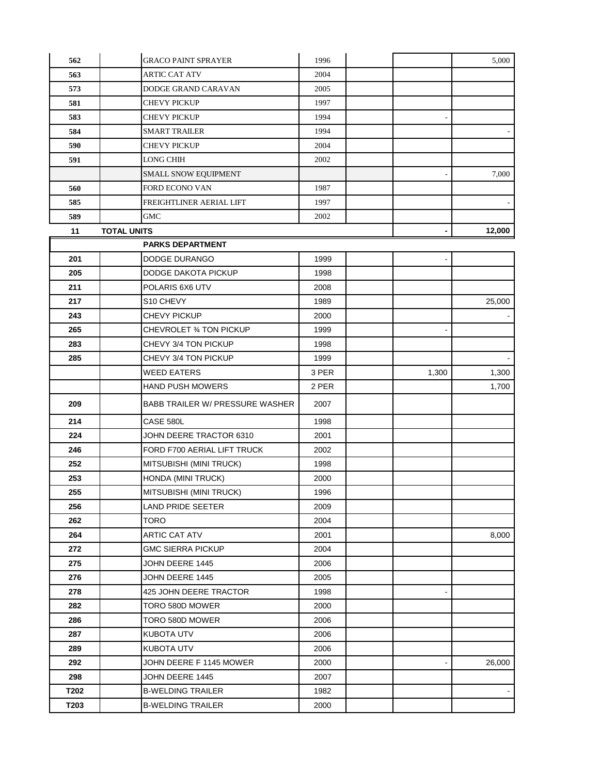| 562  | GRACO PAINT SPRAYER             | 1996  |       | 5,000  |
|------|---------------------------------|-------|-------|--------|
| 563  | ARTIC CAT ATV                   | 2004  |       |        |
| 573  | DODGE GRAND CARAVAN             | 2005  |       |        |
| 581  | CHEVY PICKUP                    | 1997  |       |        |
| 583  | CHEVY PICKUP                    | 1994  |       |        |
| 584  | SMART TRAILER                   | 1994  |       |        |
| 590  | CHEVY PICKUP                    | 2004  |       |        |
| 591  | LONG CHIH                       | 2002  |       |        |
|      | <b>SMALL SNOW EQUIPMENT</b>     |       |       | 7,000  |
| 560  | <b>FORD ECONO VAN</b>           | 1987  |       |        |
| 585  | FREIGHTLINER AERIAL LIFT        | 1997  |       |        |
| 589  | <b>GMC</b>                      | 2002  |       |        |
| 11   | <b>TOTAL UNITS</b>              |       |       | 12,000 |
|      | <b>PARKS DEPARTMENT</b>         |       |       |        |
| 201  | DODGE DURANGO                   | 1999  |       |        |
| 205  | DODGE DAKOTA PICKUP             | 1998  |       |        |
| 211  | POLARIS 6X6 UTV                 | 2008  |       |        |
| 217  | S10 CHEVY                       | 1989  |       | 25,000 |
| 243  | CHEVY PICKUP                    | 2000  |       |        |
| 265  | CHEVROLET 34 TON PICKUP         | 1999  |       |        |
| 283  | CHEVY 3/4 TON PICKUP            | 1998  |       |        |
| 285  | CHEVY 3/4 TON PICKUP            | 1999  |       |        |
|      | WEED EATERS                     | 3 PER | 1,300 | 1,300  |
|      | <b>HAND PUSH MOWERS</b>         | 2 PER |       | 1,700  |
| 209  | BABB TRAILER W/ PRESSURE WASHER | 2007  |       |        |
| 214  | CASE 580L                       | 1998  |       |        |
| 224  | JOHN DEERE TRACTOR 6310         | 2001  |       |        |
| 246  | FORD F700 AERIAL LIFT TRUCK     | 2002  |       |        |
| 252  | MITSUBISHI (MINI TRUCK)         | 1998  |       |        |
| 253  | HONDA (MINI TRUCK)              | 2000  |       |        |
| 255  | MITSUBISHI (MINI TRUCK)         | 1996  |       |        |
| 256  | LAND PRIDE SEETER               | 2009  |       |        |
| 262  | <b>TORO</b>                     | 2004  |       |        |
| 264  | ARTIC CAT ATV                   | 2001  |       | 8,000  |
| 272  | <b>GMC SIERRA PICKUP</b>        | 2004  |       |        |
| 275  | JOHN DEERE 1445                 | 2006  |       |        |
| 276  | JOHN DEERE 1445                 | 2005  |       |        |
| 278  | 425 JOHN DEERE TRACTOR          | 1998  |       |        |
| 282  | TORO 580D MOWER                 | 2000  |       |        |
| 286  | TORO 580D MOWER                 | 2006  |       |        |
| 287  | KUBOTA UTV                      | 2006  |       |        |
| 289  | KUBOTA UTV                      | 2006  |       |        |
| 292  | JOHN DEERE F 1145 MOWER         | 2000  |       | 26,000 |
| 298  | JOHN DEERE 1445                 | 2007  |       |        |
| T202 | B-WELDING TRAILER               | 1982  |       |        |
| T203 | B-WELDING TRAILER               | 2000  |       |        |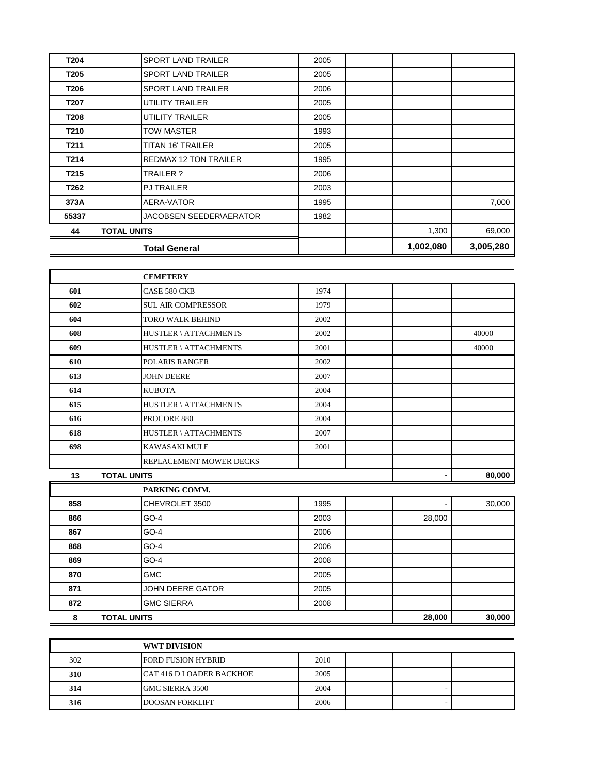| T204             | <b>SPORT LAND TRAILER</b>    | 2005 |           |           |
|------------------|------------------------------|------|-----------|-----------|
| T <sub>205</sub> | <b>SPORT LAND TRAILER</b>    | 2005 |           |           |
| T206             | <b>SPORT LAND TRAILER</b>    | 2006 |           |           |
| T207             | UTILITY TRAILER              | 2005 |           |           |
| <b>T208</b>      | UTILITY TRAILER              | 2005 |           |           |
| T210             | TOW MASTER                   | 1993 |           |           |
| T211             | <b>TITAN 16' TRAILER</b>     | 2005 |           |           |
| T214             | <b>REDMAX 12 TON TRAILER</b> | 1995 |           |           |
| T <sub>215</sub> | TRAILER?                     | 2006 |           |           |
| T262             | <b>PJ TRAILER</b>            | 2003 |           |           |
| 373A             | AERA-VATOR                   | 1995 |           | 7,000     |
| 55337            | JACOBSEN SEEDER\AERATOR      | 1982 |           |           |
| 44               | <b>TOTAL UNITS</b>           |      | 1,300     | 69,000    |
|                  | <b>Total General</b>         |      | 1,002,080 | 3,005,280 |

|     | <b>CEMETERY</b>           |      |        |        |
|-----|---------------------------|------|--------|--------|
| 601 | CASE 580 CKB              | 1974 |        |        |
| 602 | <b>SUL AIR COMPRESSOR</b> | 1979 |        |        |
| 604 | TORO WALK BEHIND          | 2002 |        |        |
| 608 | HUSTLER \ ATTACHMENTS     | 2002 |        | 40000  |
| 609 | HUSTLER \ ATTACHMENTS     | 2001 |        | 40000  |
| 610 | <b>POLARIS RANGER</b>     | 2002 |        |        |
| 613 | <b>JOHN DEERE</b>         | 2007 |        |        |
| 614 | <b>KUBOTA</b>             | 2004 |        |        |
| 615 | HUSTLER \ ATTACHMENTS     | 2004 |        |        |
| 616 | PROCORE 880               | 2004 |        |        |
| 618 | HUSTLER \ ATTACHMENTS     | 2007 |        |        |
| 698 | <b>KAWASAKI MULE</b>      | 2001 |        |        |
|     | REPLACEMENT MOWER DECKS   |      |        |        |
| 13  | <b>TOTAL UNITS</b>        |      |        | 80,000 |
|     | PARKING COMM.             |      |        |        |
| 858 | CHEVROLET 3500            | 1995 |        | 30,000 |
| 866 | $GO-4$                    | 2003 | 28,000 |        |
| 867 | $GO-4$                    | 2006 |        |        |
| 868 | $GO-4$                    | 2006 |        |        |
| 869 | $GO-4$                    | 2008 |        |        |
| 870 | <b>GMC</b>                | 2005 |        |        |
| 871 | JOHN DEERE GATOR          | 2005 |        |        |

|     | WWT DIVISION              |      |  |  |
|-----|---------------------------|------|--|--|
| 302 | FORD FUSION HYBRID        | 2010 |  |  |
| 310 | ICAT 416 D LOADER BACKHOE | 2005 |  |  |
| 314 | <b>GMC SIERRA 3500</b>    | 2004 |  |  |
| 316 | <b>DOOSAN FORKLIFT</b>    | 2006 |  |  |

**TOTAL UNITS** 30,000

GMC SIERRA 2008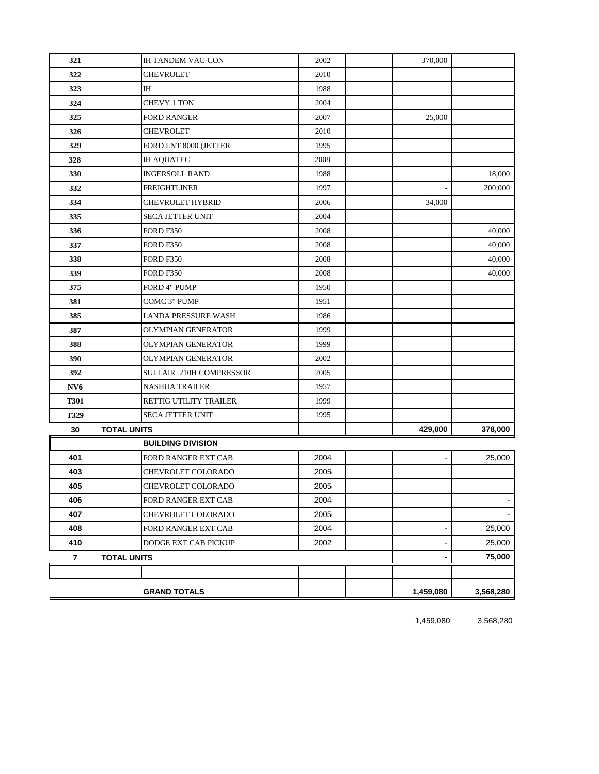| 321             | <b>IH TANDEM VAC-CON</b>   | 2002 | 370,000        |           |
|-----------------|----------------------------|------|----------------|-----------|
| 322             | CHEVROLET                  | 2010 |                |           |
| 323             | IH                         | 1988 |                |           |
| 324             | CHEVY 1 TON                | 2004 |                |           |
| 325             | <b>FORD RANGER</b>         | 2007 | 25,000         |           |
| 326             | <b>CHEVROLET</b>           | 2010 |                |           |
| 329             | FORD LNT 8000 (JETTER      | 1995 |                |           |
| 328             | <b>IH AQUATEC</b>          | 2008 |                |           |
| 330             | <b>INGERSOLL RAND</b>      | 1988 |                | 18,000    |
| 332             | <b>FREIGHTLINER</b>        | 1997 |                | 200,000   |
| 334             | CHEVROLET HYBRID           | 2006 | 34,000         |           |
| 335             | <b>SECA JETTER UNIT</b>    | 2004 |                |           |
| 336             | <b>FORD F350</b>           | 2008 |                | 40,000    |
| 337             | <b>FORD F350</b>           | 2008 |                | 40,000    |
| 338             | <b>FORD F350</b>           | 2008 |                | 40,000    |
| 339             | <b>FORD F350</b>           | 2008 |                | 40,000    |
| 375             | FORD 4" PUMP               | 1950 |                |           |
| 381             | COMC 3" PUMP               | 1951 |                |           |
| 385             | LANDA PRESSURE WASH        | 1986 |                |           |
| 387             | <b>OLYMPIAN GENERATOR</b>  | 1999 |                |           |
| 388             | OLYMPIAN GENERATOR         | 1999 |                |           |
| 390             | <b>OLYMPIAN GENERATOR</b>  | 2002 |                |           |
| 392             | SULLAIR 210H COMPRESSOR    | 2005 |                |           |
| NV <sub>6</sub> | <b>NASHUA TRAILER</b>      | 1957 |                |           |
| <b>T301</b>     | RETTIG UTILITY TRAILER     | 1999 |                |           |
| <b>T329</b>     | <b>SECA JETTER UNIT</b>    | 1995 |                |           |
| 30              | <b>TOTAL UNITS</b>         |      | 429,000        | 378,000   |
|                 | <b>BUILDING DIVISION</b>   |      |                |           |
| 401             | <b>FORD RANGER EXT CAB</b> | 2004 |                | 25,000    |
| 403             | CHEVROLET COLORADO         | 2005 |                |           |
| 405             | CHEVROLET COLORADO         | 2005 |                |           |
| 406             | FORD RANGER EXT CAB        | 2004 |                |           |
| 407             | CHEVROLET COLORADO         | 2005 |                |           |
| 408             | FORD RANGER EXT CAB        | 2004 |                | 25,000    |
| 410             | DODGE EXT CAB PICKUP       | 2002 |                | 25,000    |
| 7               | <b>TOTAL UNITS</b>         |      | $\blacksquare$ | 75,000    |
|                 |                            |      |                |           |
|                 | <b>GRAND TOTALS</b>        |      | 1,459,080      | 3,568,280 |

1,459,080 3,568,280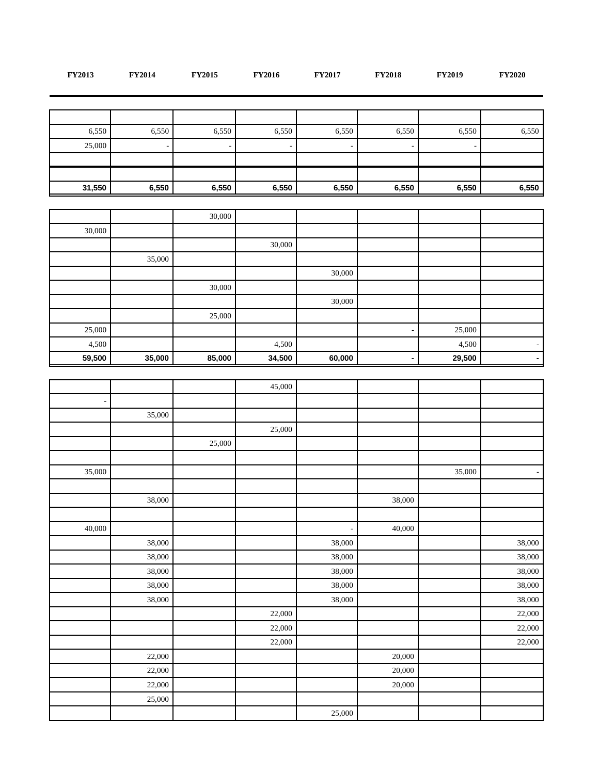| <b>FY2013</b>  | <b>FY2014</b>    | <b>FY2015</b> | <b>FY2016</b>  | <b>FY2017</b>    | <b>FY2018</b> | <b>FY2019</b> | <b>FY2020</b>            |
|----------------|------------------|---------------|----------------|------------------|---------------|---------------|--------------------------|
|                |                  |               |                |                  |               |               |                          |
| 6,550          | 6,550            | 6,550         | 6,550          | 6,550            | 6,550         | 6,550         | 6,550                    |
| 25,000         |                  |               | $\overline{a}$ |                  |               |               |                          |
|                |                  |               |                |                  |               |               |                          |
| 31,550         | 6,550            | 6,550         | 6,550          | 6,550            | 6,550         | 6,550         | 6,550                    |
|                |                  | 30,000        |                |                  |               |               |                          |
| 30,000         |                  |               |                |                  |               |               |                          |
|                |                  |               | 30,000         |                  |               |               |                          |
|                | 35,000           |               |                |                  |               |               |                          |
|                |                  |               |                | 30,000           |               |               |                          |
|                |                  | 30,000        |                |                  |               |               |                          |
|                |                  |               |                | 30,000           |               |               |                          |
|                |                  | 25,000        |                |                  |               |               |                          |
| 25,000         |                  |               |                |                  |               | 25,000        |                          |
| 4,500          |                  |               | 4,500          |                  |               | 4,500         | $\overline{\phantom{a}}$ |
| 59,500         | 35,000           | 85,000        | 34,500         | 60,000           |               | 29,500        | $\blacksquare$           |
|                |                  |               | 45,000         |                  |               |               |                          |
| $\overline{a}$ |                  |               |                |                  |               |               |                          |
|                | 35,000           |               |                |                  |               |               |                          |
|                |                  |               | 25,000         |                  |               |               |                          |
|                |                  | 25,000        |                |                  |               |               |                          |
|                |                  |               |                |                  |               |               |                          |
| 35,000         |                  |               |                |                  |               | 35,000        | $\overline{\phantom{a}}$ |
|                |                  |               |                |                  |               |               |                          |
|                | 38,000           |               |                |                  | 38,000        |               |                          |
|                |                  |               |                |                  |               |               |                          |
| 40,000         |                  |               |                | ٠                | 40,000        |               |                          |
|                | 38,000           |               |                | 38,000           |               |               | 38,000                   |
|                | 38,000           |               |                | 38,000           |               |               | 38,000                   |
|                | 38,000<br>38,000 |               |                | 38,000<br>38,000 |               |               | 38,000<br>38,000         |
|                | 38,000           |               |                | 38,000           |               |               | 38,000                   |
|                |                  |               | 22,000         |                  |               |               | 22,000                   |
|                |                  |               | 22,000         |                  |               |               | 22,000                   |
|                |                  |               | 22,000         |                  |               |               | 22,000                   |
|                | 22,000           |               |                |                  | 20,000        |               |                          |
|                | 22,000           |               |                |                  | 20,000        |               |                          |
|                | 22,000           |               |                |                  | 20,000        |               |                          |
|                | 25,000           |               |                |                  |               |               |                          |
|                |                  |               |                | 25,000           |               |               |                          |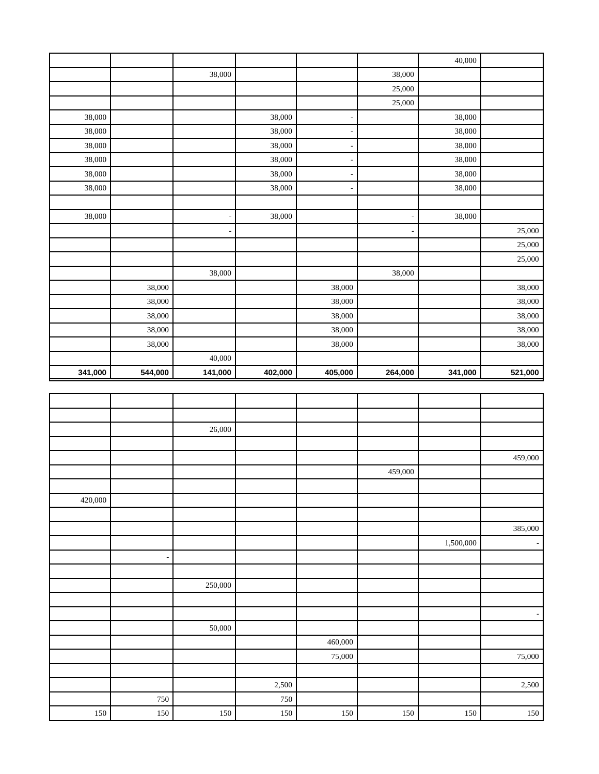|         |         |                          |         |                          |         | 40,000  |         |
|---------|---------|--------------------------|---------|--------------------------|---------|---------|---------|
|         |         | 38,000                   |         |                          | 38,000  |         |         |
|         |         |                          |         |                          | 25,000  |         |         |
|         |         |                          |         |                          | 25,000  |         |         |
| 38,000  |         |                          | 38,000  | $\overline{\phantom{a}}$ |         | 38,000  |         |
| 38,000  |         |                          | 38,000  | $\overline{\phantom{0}}$ |         | 38,000  |         |
| 38,000  |         |                          | 38,000  | $\overline{\phantom{a}}$ |         | 38,000  |         |
| 38,000  |         |                          | 38,000  | $\overline{\phantom{a}}$ |         | 38,000  |         |
| 38,000  |         |                          | 38,000  | $\overline{\phantom{0}}$ |         | 38,000  |         |
| 38,000  |         |                          | 38,000  | ۰                        |         | 38,000  |         |
|         |         |                          |         |                          |         |         |         |
| 38,000  |         | $\overline{\phantom{a}}$ | 38,000  |                          |         | 38,000  |         |
|         |         | $\overline{\phantom{a}}$ |         |                          |         |         | 25,000  |
|         |         |                          |         |                          |         |         | 25,000  |
|         |         |                          |         |                          |         |         | 25,000  |
|         |         | 38,000                   |         |                          | 38,000  |         |         |
|         | 38,000  |                          |         | 38,000                   |         |         | 38,000  |
|         | 38,000  |                          |         | 38,000                   |         |         | 38,000  |
|         | 38,000  |                          |         | 38,000                   |         |         | 38,000  |
|         | 38,000  |                          |         | 38,000                   |         |         | 38,000  |
|         | 38,000  |                          |         | 38,000                   |         |         | 38,000  |
|         |         | 40,000                   |         |                          |         |         |         |
| 341,000 | 544,000 | 141,000                  | 402,000 | 405,000                  | 264,000 | 341,000 | 521,000 |

|         |                          | 26,000  |         |         |         |           |                |
|---------|--------------------------|---------|---------|---------|---------|-----------|----------------|
|         |                          |         |         |         |         |           |                |
|         |                          |         |         |         |         |           | 459,000        |
|         |                          |         |         |         | 459,000 |           |                |
|         |                          |         |         |         |         |           |                |
| 420,000 |                          |         |         |         |         |           |                |
|         |                          |         |         |         |         |           |                |
|         |                          |         |         |         |         |           | 385,000        |
|         |                          |         |         |         |         | 1,500,000 | $\overline{a}$ |
|         | $\overline{\phantom{a}}$ |         |         |         |         |           |                |
|         |                          |         |         |         |         |           |                |
|         |                          | 250,000 |         |         |         |           |                |
|         |                          |         |         |         |         |           |                |
|         |                          |         |         |         |         |           | $\overline{a}$ |
|         |                          | 50,000  |         |         |         |           |                |
|         |                          |         |         | 460,000 |         |           |                |
|         |                          |         |         | 75,000  |         |           | 75,000         |
|         |                          |         |         |         |         |           |                |
|         |                          |         | 2,500   |         |         |           | 2,500          |
|         | $750\,$                  |         | 750     |         |         |           |                |
| $150\,$ | $150\,$                  | $150\,$ | $150\,$ | 150     | $150\,$ | 150       | 150            |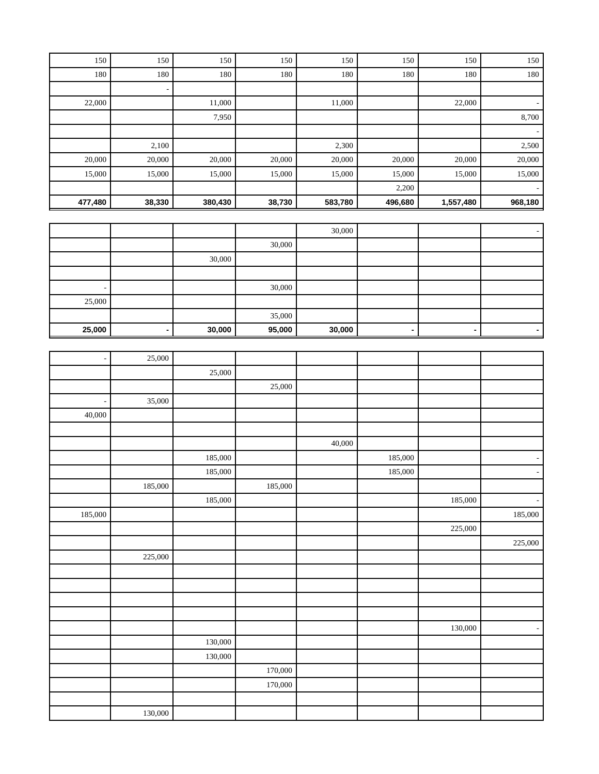| 150     | 150    | 150     | 150    | 150     | 150     | 150       | 150     |
|---------|--------|---------|--------|---------|---------|-----------|---------|
| 180     | 180    | 180     | 180    | 180     | 180     | 180       | 180     |
|         |        |         |        |         |         |           |         |
| 22,000  |        | 11,000  |        | 11,000  |         | 22,000    |         |
|         |        | 7,950   |        |         |         |           | 8,700   |
|         |        |         |        |         |         |           |         |
|         | 2,100  |         |        | 2,300   |         |           | 2,500   |
| 20,000  | 20,000 | 20,000  | 20,000 | 20,000  | 20,000  | 20,000    | 20,000  |
| 15,000  | 15,000 | 15,000  | 15,000 | 15,000  | 15,000  | 15,000    | 15,000  |
|         |        |         |        |         | 2,200   |           |         |
| 477,480 | 38,330 | 380,430 | 38,730 | 583,780 | 496,680 | 1,557,480 | 968,180 |

|        |        |        | 30,000 |  | $\overline{\phantom{0}}$ |
|--------|--------|--------|--------|--|--------------------------|
|        |        | 30,000 |        |  |                          |
|        | 30,000 |        |        |  |                          |
|        |        |        |        |  |                          |
|        |        | 30,000 |        |  |                          |
| 25,000 |        |        |        |  |                          |
|        |        | 35,000 |        |  |                          |
| 25,000 | 30,000 | 95,000 | 30,000 |  | ۰                        |

| $\overline{\phantom{a}}$ | 25,000  |         |         |        |         |         |                          |
|--------------------------|---------|---------|---------|--------|---------|---------|--------------------------|
|                          |         | 25,000  |         |        |         |         |                          |
|                          |         |         | 25,000  |        |         |         |                          |
| $\overline{\phantom{a}}$ | 35,000  |         |         |        |         |         |                          |
| 40,000                   |         |         |         |        |         |         |                          |
|                          |         |         |         |        |         |         |                          |
|                          |         |         |         | 40,000 |         |         |                          |
|                          |         | 185,000 |         |        | 185,000 |         | $\omega$                 |
|                          |         | 185,000 |         |        | 185,000 |         | $\mathbb{Z}^d$           |
|                          | 185,000 |         | 185,000 |        |         |         |                          |
|                          |         | 185,000 |         |        |         | 185,000 | $\overline{\mathcal{A}}$ |
| 185,000                  |         |         |         |        |         |         | 185,000                  |
|                          |         |         |         |        |         | 225,000 |                          |
|                          |         |         |         |        |         |         | 225,000                  |
|                          | 225,000 |         |         |        |         |         |                          |
|                          |         |         |         |        |         |         |                          |
|                          |         |         |         |        |         |         |                          |
|                          |         |         |         |        |         |         |                          |
|                          |         |         |         |        |         |         |                          |
|                          |         |         |         |        |         | 130,000 | $\omega$                 |
|                          |         | 130,000 |         |        |         |         |                          |
|                          |         | 130,000 |         |        |         |         |                          |
|                          |         |         | 170,000 |        |         |         |                          |
|                          |         |         | 170,000 |        |         |         |                          |
|                          |         |         |         |        |         |         |                          |
|                          | 130,000 |         |         |        |         |         |                          |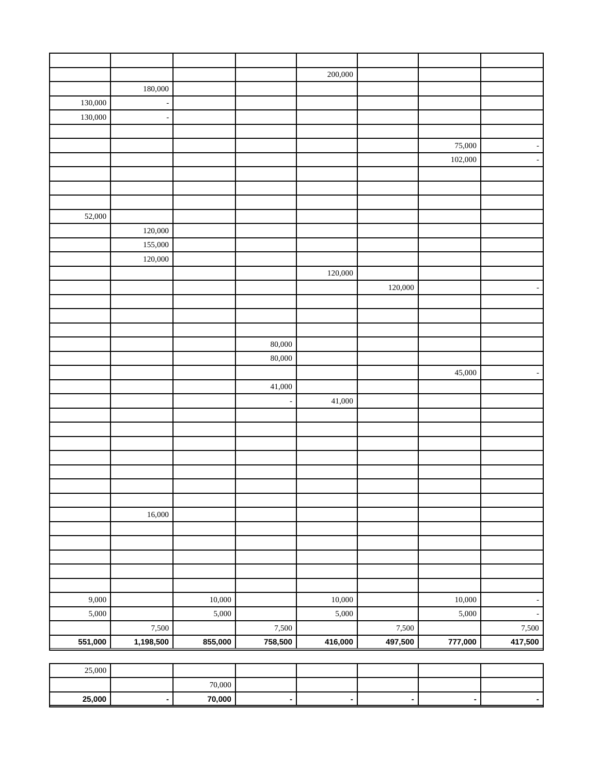|                |           |                 |                   | 200,000 |         |                 |                          |
|----------------|-----------|-----------------|-------------------|---------|---------|-----------------|--------------------------|
|                | 180,000   |                 |                   |         |         |                 |                          |
| 130,000        |           |                 |                   |         |         |                 |                          |
| 130,000        |           |                 |                   |         |         |                 |                          |
|                |           |                 |                   |         |         |                 |                          |
|                |           |                 |                   |         |         | 75,000          | $\overline{\phantom{a}}$ |
|                |           |                 |                   |         |         | 102,000         | $\mathbb{Z}^2$           |
|                |           |                 |                   |         |         |                 |                          |
|                |           |                 |                   |         |         |                 |                          |
|                |           |                 |                   |         |         |                 |                          |
| 52,000         |           |                 |                   |         |         |                 |                          |
|                | 120,000   |                 |                   |         |         |                 |                          |
|                | 155,000   |                 |                   |         |         |                 |                          |
|                | 120,000   |                 |                   |         |         |                 |                          |
|                |           |                 |                   | 120,000 |         |                 |                          |
|                |           |                 |                   |         | 120,000 |                 | $\mathbb{Z}^2$           |
|                |           |                 |                   |         |         |                 |                          |
|                |           |                 |                   |         |         |                 |                          |
|                |           |                 |                   |         |         |                 |                          |
|                |           |                 | 80,000            |         |         |                 |                          |
|                |           |                 | 80,000            |         |         |                 |                          |
|                |           |                 |                   |         |         | 45,000          | $\mathbb{Z}^2$           |
|                |           |                 | 41,000            |         |         |                 |                          |
|                |           |                 | $\qquad \qquad -$ | 41,000  |         |                 |                          |
|                |           |                 |                   |         |         |                 |                          |
|                |           |                 |                   |         |         |                 |                          |
|                |           |                 |                   |         |         |                 |                          |
|                |           |                 |                   |         |         |                 |                          |
|                |           |                 |                   |         |         |                 |                          |
|                |           |                 |                   |         |         |                 |                          |
|                |           |                 |                   |         |         |                 |                          |
|                | 16,000    |                 |                   |         |         |                 |                          |
|                |           |                 |                   |         |         |                 |                          |
|                |           |                 |                   |         |         |                 |                          |
|                |           |                 |                   |         |         |                 |                          |
|                |           |                 |                   |         |         |                 |                          |
|                |           |                 |                   |         |         |                 |                          |
| 9,000<br>5,000 |           | 10,000<br>5,000 |                   | 10,000  |         | 10,000<br>5,000 | $\bar{\gamma}$           |
|                | 7,500     |                 | 7,500             | 5,000   | 7,500   |                 | $\mathbb{Z}^2$<br>7,500  |
| 551,000        | 1,198,500 | 855,000         | 758,500           | 416,000 | 497,500 | 777,000         | 417,500                  |
|                |           |                 |                   |         |         |                 |                          |

| 25,000 |        |  |  |  |
|--------|--------|--|--|--|
|        | 70,000 |  |  |  |
| 25,000 | 70,000 |  |  |  |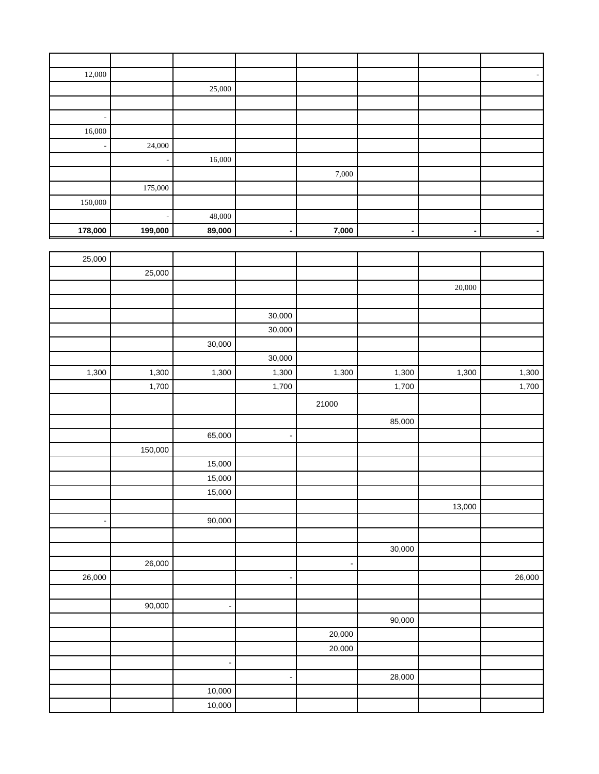| 12,000                   |         |        |                              |                              |        |                | ÷.                       |
|--------------------------|---------|--------|------------------------------|------------------------------|--------|----------------|--------------------------|
|                          |         | 25,000 |                              |                              |        |                |                          |
|                          |         |        |                              |                              |        |                |                          |
| $\overline{\phantom{a}}$ |         |        |                              |                              |        |                |                          |
| 16,000                   |         |        |                              |                              |        |                |                          |
|                          | 24,000  |        |                              |                              |        |                |                          |
|                          |         | 16,000 |                              |                              |        |                |                          |
|                          |         |        |                              | 7,000                        |        |                |                          |
|                          |         |        |                              |                              |        |                |                          |
|                          | 175,000 |        |                              |                              |        |                |                          |
| 150,000                  |         |        |                              |                              |        |                |                          |
|                          |         | 48,000 |                              |                              |        |                |                          |
| 178,000                  | 199,000 | 89,000 | $\qquad \qquad \blacksquare$ | 7,000                        | -      | $\blacksquare$ | $\overline{\phantom{a}}$ |
|                          |         |        |                              |                              |        |                |                          |
| 25,000                   |         |        |                              |                              |        |                |                          |
|                          | 25,000  |        |                              |                              |        |                |                          |
|                          |         |        |                              |                              |        | 20,000         |                          |
|                          |         |        |                              |                              |        |                |                          |
|                          |         |        |                              |                              |        |                |                          |
|                          |         |        | 30,000                       |                              |        |                |                          |
|                          |         |        | 30,000                       |                              |        |                |                          |
|                          |         | 30,000 |                              |                              |        |                |                          |
|                          |         |        | 30,000                       |                              |        |                |                          |
| 1,300                    | 1,300   | 1,300  | 1,300                        | 1,300                        | 1,300  | 1,300          | 1,300                    |
|                          | 1,700   |        | 1,700                        |                              | 1,700  |                | 1,700                    |
|                          |         |        |                              | 21000                        |        |                |                          |
|                          |         |        |                              |                              |        |                |                          |
|                          |         |        |                              |                              | 85,000 |                |                          |
|                          |         | 65,000 | $\qquad \qquad \blacksquare$ |                              |        |                |                          |
|                          | 150,000 |        |                              |                              |        |                |                          |
|                          |         | 15,000 |                              |                              |        |                |                          |
|                          |         | 15,000 |                              |                              |        |                |                          |
|                          |         | 15,000 |                              |                              |        |                |                          |
|                          |         |        |                              |                              |        | 13,000         |                          |
|                          |         |        |                              |                              |        |                |                          |
| $\blacksquare$           |         | 90,000 |                              |                              |        |                |                          |
|                          |         |        |                              |                              |        |                |                          |
|                          |         |        |                              |                              | 30,000 |                |                          |
|                          | 26,000  |        |                              | $\qquad \qquad \blacksquare$ |        |                |                          |
| 26,000                   |         |        | ÷                            |                              |        |                | 26,000                   |
|                          |         |        |                              |                              |        |                |                          |
|                          | 90,000  |        |                              |                              |        |                |                          |
|                          |         |        |                              |                              | 90,000 |                |                          |
|                          |         |        |                              | 20,000                       |        |                |                          |
|                          |         |        |                              | 20,000                       |        |                |                          |
|                          |         |        |                              |                              |        |                |                          |
|                          |         |        |                              |                              |        |                |                          |
|                          |         |        | $\overline{\phantom{a}}$     |                              | 28,000 |                |                          |
|                          |         | 10,000 |                              |                              |        |                |                          |
|                          |         | 10,000 |                              |                              |        |                |                          |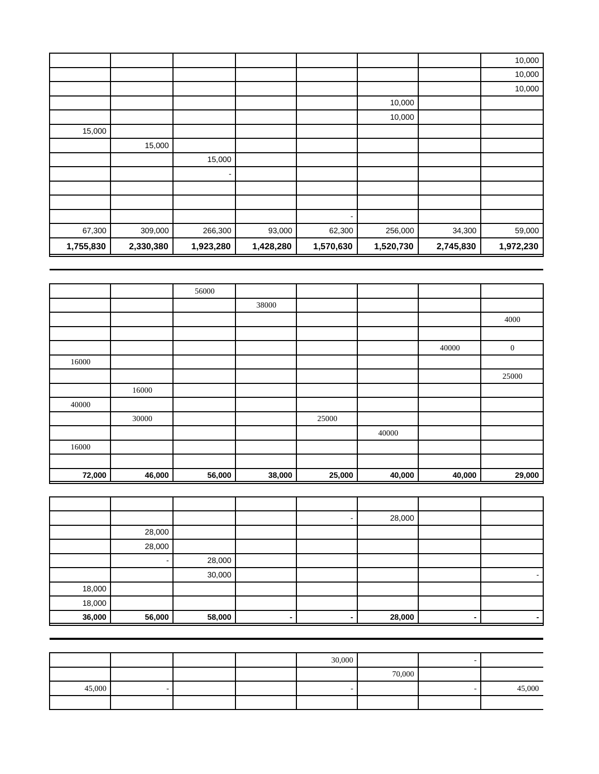|           |           |           |           |           |           |           | 10,000    |
|-----------|-----------|-----------|-----------|-----------|-----------|-----------|-----------|
|           |           |           |           |           |           |           | 10,000    |
|           |           |           |           |           |           |           | 10,000    |
|           |           |           |           |           | 10,000    |           |           |
|           |           |           |           |           | 10,000    |           |           |
| 15,000    |           |           |           |           |           |           |           |
|           | 15,000    |           |           |           |           |           |           |
|           |           | 15,000    |           |           |           |           |           |
|           |           |           |           |           |           |           |           |
|           |           |           |           |           |           |           |           |
|           |           |           |           |           |           |           |           |
|           |           |           |           |           |           |           |           |
| 67,300    | 309,000   | 266,300   | 93,000    | 62,300    | 256,000   | 34,300    | 59,000    |
| 1,755,830 | 2,330,380 | 1,923,280 | 1,428,280 | 1,570,630 | 1,520,730 | 2,745,830 | 1,972,230 |

|        |        | 56000  |        |        |        |        |                  |
|--------|--------|--------|--------|--------|--------|--------|------------------|
|        |        |        | 38000  |        |        |        |                  |
|        |        |        |        |        |        |        | 4000             |
|        |        |        |        |        |        |        |                  |
|        |        |        |        |        |        | 40000  | $\boldsymbol{0}$ |
| 16000  |        |        |        |        |        |        |                  |
|        |        |        |        |        |        |        | 25000            |
|        | 16000  |        |        |        |        |        |                  |
| 40000  |        |        |        |        |        |        |                  |
|        | 30000  |        |        | 25000  |        |        |                  |
|        |        |        |        |        | 40000  |        |                  |
| 16000  |        |        |        |        |        |        |                  |
|        |        |        |        |        |        |        |                  |
| 72,000 | 46,000 | 56,000 | 38,000 | 25,000 | 40,000 | 40,000 | 29,000           |

|        |        |        |   |   | 28,000 |   |  |
|--------|--------|--------|---|---|--------|---|--|
|        | 28,000 |        |   |   |        |   |  |
|        | 28,000 |        |   |   |        |   |  |
|        |        | 28,000 |   |   |        |   |  |
|        |        | 30,000 |   |   |        |   |  |
| 18,000 |        |        |   |   |        |   |  |
| 18,000 |        |        |   |   |        |   |  |
| 36,000 | 56,000 | 58,000 | - | - | 28,000 | ۰ |  |

|        |  | 30,000 |        |        |
|--------|--|--------|--------|--------|
|        |  |        | 70,000 |        |
| 45,000 |  |        |        | 45,000 |
|        |  |        |        |        |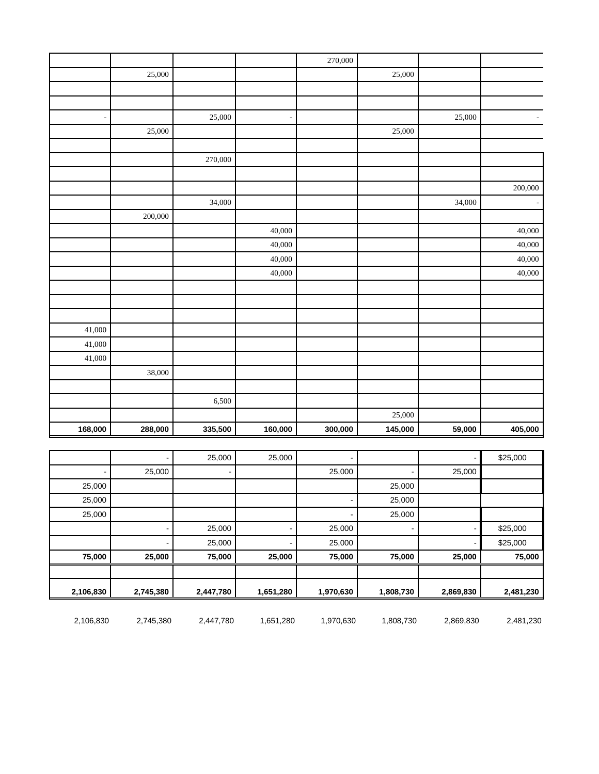|                          |         |         |                          | 270,000 |         |        |                  |
|--------------------------|---------|---------|--------------------------|---------|---------|--------|------------------|
|                          | 25,000  |         |                          |         | 25,000  |        |                  |
|                          |         |         |                          |         |         |        |                  |
|                          |         |         |                          |         |         |        |                  |
| $\overline{\phantom{a}}$ |         | 25,000  | $\overline{\phantom{a}}$ |         |         | 25,000 | $\omega_{\rm c}$ |
|                          | 25,000  |         |                          |         | 25,000  |        |                  |
|                          |         |         |                          |         |         |        |                  |
|                          |         | 270,000 |                          |         |         |        |                  |
|                          |         |         |                          |         |         |        |                  |
|                          |         |         |                          |         |         |        | 200,000          |
|                          |         | 34,000  |                          |         |         | 34,000 |                  |
|                          | 200,000 |         |                          |         |         |        |                  |
|                          |         |         | 40,000                   |         |         |        | 40,000           |
|                          |         |         | 40,000                   |         |         |        | 40,000           |
|                          |         |         | 40,000                   |         |         |        | 40,000           |
|                          |         |         | 40,000                   |         |         |        | 40,000           |
|                          |         |         |                          |         |         |        |                  |
|                          |         |         |                          |         |         |        |                  |
|                          |         |         |                          |         |         |        |                  |
| 41,000                   |         |         |                          |         |         |        |                  |
| 41,000                   |         |         |                          |         |         |        |                  |
| 41,000                   |         |         |                          |         |         |        |                  |
|                          | 38,000  |         |                          |         |         |        |                  |
|                          |         |         |                          |         |         |        |                  |
|                          |         | 6,500   |                          |         |         |        |                  |
|                          |         |         |                          |         | 25,000  |        |                  |
| 168,000                  | 288,000 | 335,500 | 160,000                  | 300,000 | 145,000 | 59,000 | 405,000          |

|           | -         | 25,000    | 25,000    |           |           |           | \$25,000  |
|-----------|-----------|-----------|-----------|-----------|-----------|-----------|-----------|
|           | 25,000    |           |           | 25,000    |           | 25,000    |           |
| 25,000    |           |           |           |           | 25,000    |           |           |
| 25,000    |           |           |           |           | 25,000    |           |           |
| 25,000    |           |           |           |           | 25,000    |           |           |
|           |           | 25,000    |           | 25,000    |           |           | \$25,000  |
|           |           | 25,000    | ۰         | 25,000    |           |           | \$25,000  |
| 75,000    | 25,000    | 75,000    | 25,000    | 75,000    | 75,000    | 25,000    | 75,000    |
| 2,106,830 | 2,745,380 | 2,447,780 | 1,651,280 | 1,970,630 | 1,808,730 | 2,869,830 | 2,481,230 |
| 2,106,830 | 2,745,380 | 2,447,780 | 1,651,280 | 1,970,630 | 1,808,730 | 2,869,830 | 2,481,230 |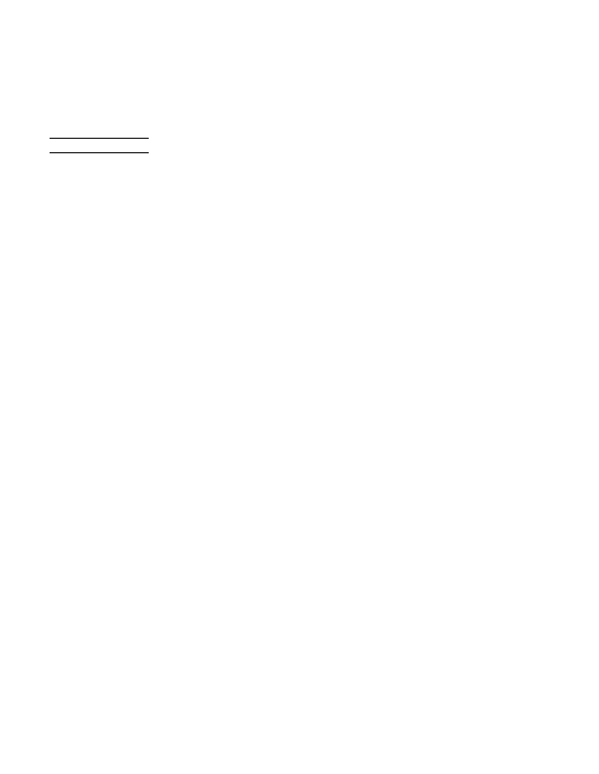L,  $\overline{a}$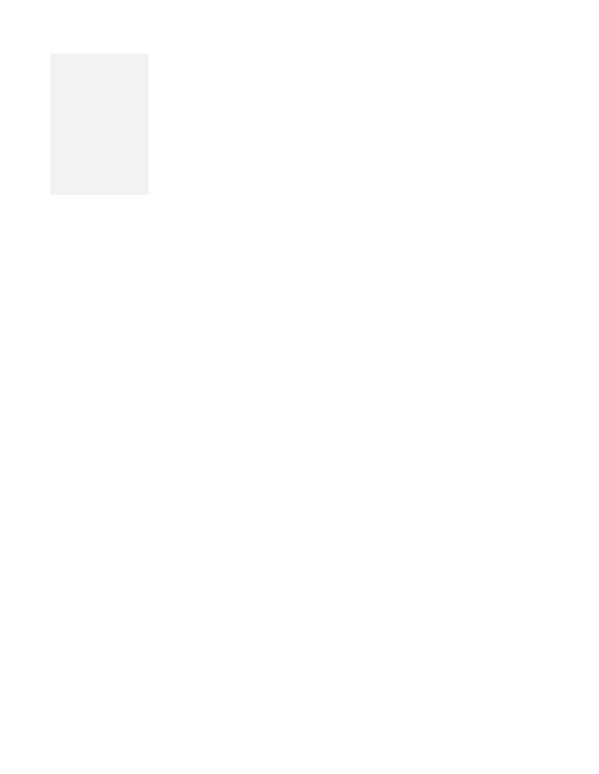